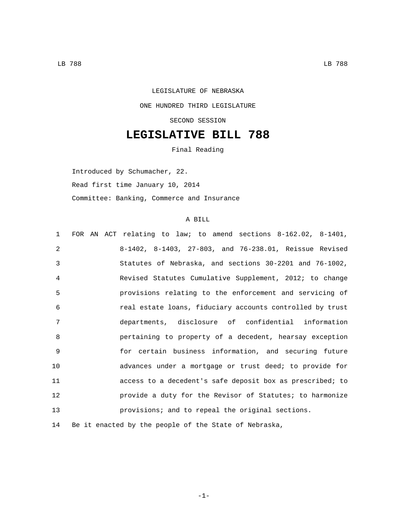## LEGISLATURE OF NEBRASKA ONE HUNDRED THIRD LEGISLATURE SECOND SESSION

## **LEGISLATIVE BILL 788**

Final Reading

Introduced by Schumacher, 22.

Read first time January 10, 2014

Committee: Banking, Commerce and Insurance

## A BILL

| $\mathbf{1}$    | FOR AN ACT relating to law; to amend sections $8-162.02$ , $8-1401$ , |
|-----------------|-----------------------------------------------------------------------|
| 2               | 8-1402, 8-1403, 27-803, and 76-238.01, Reissue Revised                |
| 3               | Statutes of Nebraska, and sections 30-2201 and 76-1002,               |
| 4               | Revised Statutes Cumulative Supplement, 2012; to change               |
| 5               | provisions relating to the enforcement and servicing of               |
| 6               | real estate loans, fiduciary accounts controlled by trust             |
| 7               | departments, disclosure of confidential information                   |
| 8               | pertaining to property of a decedent, hearsay exception               |
| 9               | for certain business information, and securing future                 |
| 10              | advances under a mortgage or trust deed; to provide for               |
| 11              | access to a decedent's safe deposit box as prescribed; to             |
| 12 <sub>2</sub> | provide a duty for the Revisor of Statutes; to harmonize              |
| 13              | provisions; and to repeal the original sections.                      |
|                 |                                                                       |

14 Be it enacted by the people of the State of Nebraska,

-1-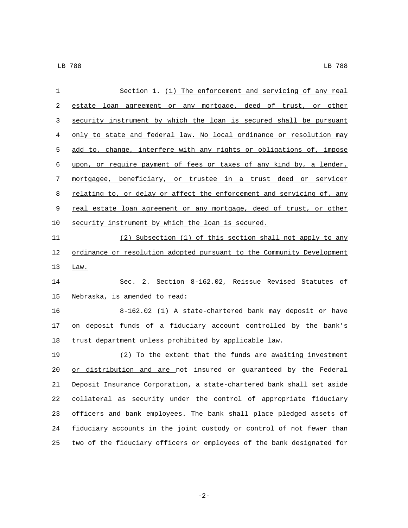| 1  | Section 1. (1) The enforcement and servicing of any real              |
|----|-----------------------------------------------------------------------|
| 2  | estate loan agreement or any mortgage, deed of trust, or other        |
| 3  | security instrument by which the loan is secured shall be pursuant    |
| 4  | only to state and federal law. No local ordinance or resolution may   |
| 5  | add to, change, interfere with any rights or obligations of, impose   |
| 6  | upon, or require payment of fees or taxes of any kind by, a lender,   |
| 7  | mortgagee, beneficiary, or trustee in a trust deed or servicer        |
| 8  | relating to, or delay or affect the enforcement and servicing of, any |
| 9  | real estate loan agreement or any mortgage, deed of trust, or other   |
| 10 | security instrument by which the loan is secured.                     |
| 11 | (2) Subsection (1) of this section shall not apply to any             |
| 12 | ordinance or resolution adopted pursuant to the Community Development |
| 13 | Law.                                                                  |
| 14 | Sec. 2. Section 8-162.02, Reissue Revised Statutes of                 |
| 15 | Nebraska, is amended to read:                                         |
| 16 | 8-162.02 (1) A state-chartered bank may deposit or have               |
| 17 | on deposit funds of a fiduciary account controlled by the bank's      |
| 18 | trust department unless prohibited by applicable law.                 |
| 19 | (2) To the extent that the funds are awaiting investment              |
| 20 | or distribution and are not insured or guaranteed by the Federal      |
| 21 | Deposit Insurance Corporation, a state-chartered bank shall set aside |
| 22 | collateral as security under the control of appropriate fiduciary     |
| 23 | officers and bank employees. The bank shall place pledged assets of   |
| 24 | fiduciary accounts in the joint custody or control of not fewer than  |
| 25 | two of the fiduciary officers or employees of the bank designated for |

-2-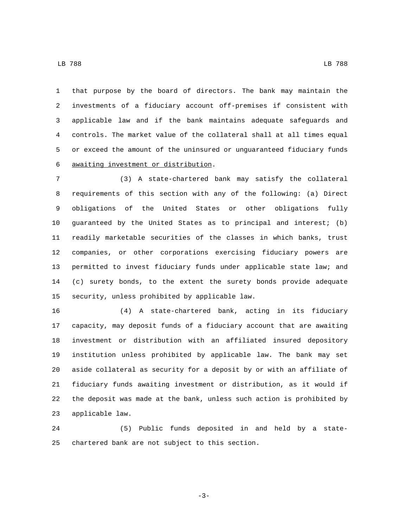that purpose by the board of directors. The bank may maintain the investments of a fiduciary account off-premises if consistent with applicable law and if the bank maintains adequate safeguards and controls. The market value of the collateral shall at all times equal or exceed the amount of the uninsured or unguaranteed fiduciary funds awaiting investment or distribution.6

 (3) A state-chartered bank may satisfy the collateral requirements of this section with any of the following: (a) Direct obligations of the United States or other obligations fully guaranteed by the United States as to principal and interest; (b) readily marketable securities of the classes in which banks, trust companies, or other corporations exercising fiduciary powers are permitted to invest fiduciary funds under applicable state law; and (c) surety bonds, to the extent the surety bonds provide adequate 15 security, unless prohibited by applicable law.

 (4) A state-chartered bank, acting in its fiduciary capacity, may deposit funds of a fiduciary account that are awaiting investment or distribution with an affiliated insured depository institution unless prohibited by applicable law. The bank may set aside collateral as security for a deposit by or with an affiliate of fiduciary funds awaiting investment or distribution, as it would if the deposit was made at the bank, unless such action is prohibited by 23 applicable law.

 (5) Public funds deposited in and held by a state-25 chartered bank are not subject to this section.

-3-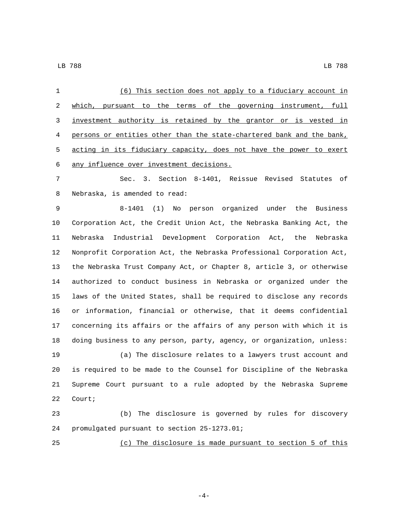| 1  | (6) This section does not apply to a fiduciary account in             |
|----|-----------------------------------------------------------------------|
| 2  | which, pursuant to the terms of the governing instrument, full        |
| 3  | investment authority is retained by the grantor or is vested in       |
| 4  | persons or entities other than the state-chartered bank and the bank, |
| 5  | acting in its fiduciary capacity, does not have the power to exert    |
| 6  | any influence over investment decisions.                              |
| 7  | Sec. 3. Section 8-1401, Reissue Revised Statutes of                   |
| 8  | Nebraska, is amended to read:                                         |
| 9  | $8 - 1401$ (1)<br>No person organized under the Business              |
| 10 | Corporation Act, the Credit Union Act, the Nebraska Banking Act, the  |
| 11 | Industrial Development Corporation Act, the Nebraska<br>Nebraska      |
| 12 | Nonprofit Corporation Act, the Nebraska Professional Corporation Act, |
| 13 | the Nebraska Trust Company Act, or Chapter 8, article 3, or otherwise |
| 14 | authorized to conduct business in Nebraska or organized under the     |
| 15 | laws of the United States, shall be required to disclose any records  |
| 16 | or information, financial or otherwise, that it deems confidential    |
| 17 | concerning its affairs or the affairs of any person with which it is  |
| 18 | doing business to any person, party, agency, or organization, unless: |
| 19 | (a) The disclosure relates to a lawyers trust account and             |
| 20 | is required to be made to the Counsel for Discipline of the Nebraska  |
| 21 | Supreme Court pursuant to a rule adopted by the Nebraska Supreme      |
| 22 | Courti                                                                |
| 23 | The disclosure is governed by rules for discovery<br>(b)              |
| 24 | promulgated pursuant to section 25-1273.01;                           |
| 25 | (c) The disclosure is made pursuant to section 5 of this              |

 $-4-$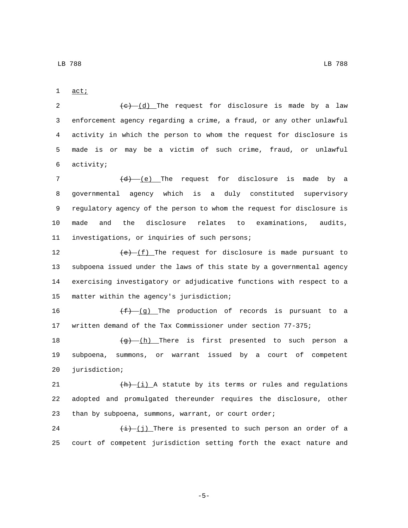LB 788 LB 788

1 act;

 $\left(\frac{e}{c}\right)$  (d) The request for disclosure is made by a law enforcement agency regarding a crime, a fraud, or any other unlawful activity in which the person to whom the request for disclosure is made is or may be a victim of such crime, fraud, or unlawful activity;6

 $(d)-(e)$  The request for disclosure is made by a governmental agency which is a duly constituted supervisory regulatory agency of the person to whom the request for disclosure is made and the disclosure relates to examinations, audits, 11 investigations, or inquiries of such persons;

 $(e)$   $(f)$  The request for disclosure is made pursuant to subpoena issued under the laws of this state by a governmental agency exercising investigatory or adjudicative functions with respect to a 15 matter within the agency's jurisdiction;

16  $\left(\frac{f}{f} - g\right)$  The production of records is pursuant to a 17 written demand of the Tax Commissioner under section 77-375;

18  $(g)$   $(h)$  There is first presented to such person a 19 subpoena, summons, or warrant issued by a court of competent 20 jurisdiction;

21  $+h)-(i)$  A statute by its terms or rules and regulations 22 adopted and promulgated thereunder requires the disclosure, other 23 than by subpoena, summons, warrant, or court order;

24  $\left(\frac{1}{2}\right)$  (j) There is presented to such person an order of a 25 court of competent jurisdiction setting forth the exact nature and

-5-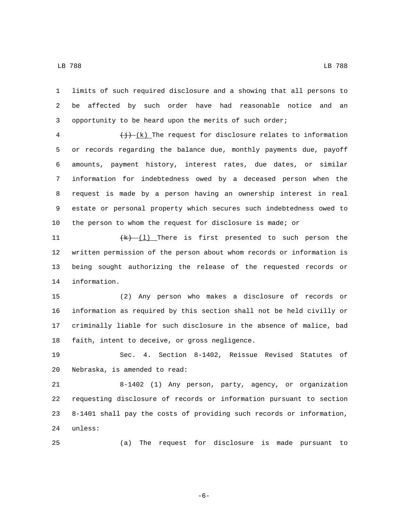LB 788 LB 788

 limits of such required disclosure and a showing that all persons to be affected by such order have had reasonable notice and an opportunity to be heard upon the merits of such order;

 $\frac{(-1)^{1}(k)}{2}$  The request for disclosure relates to information or records regarding the balance due, monthly payments due, payoff amounts, payment history, interest rates, due dates, or similar information for indebtedness owed by a deceased person when the request is made by a person having an ownership interest in real estate or personal property which secures such indebtedness owed to the person to whom the request for disclosure is made; or

 $+k)-(1)$  There is first presented to such person the written permission of the person about whom records or information is being sought authorizing the release of the requested records or 14 information.

 (2) Any person who makes a disclosure of records or information as required by this section shall not be held civilly or criminally liable for such disclosure in the absence of malice, bad 18 faith, intent to deceive, or gross negligence.

 Sec. 4. Section 8-1402, Reissue Revised Statutes of 20 Nebraska, is amended to read:

 8-1402 (1) Any person, party, agency, or organization requesting disclosure of records or information pursuant to section 8-1401 shall pay the costs of providing such records or information, 24 unless:

(a) The request for disclosure is made pursuant to

-6-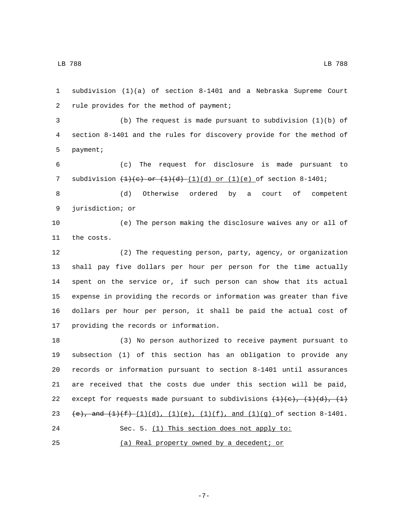subdivision (1)(a) of section 8-1401 and a Nebraska Supreme Court 2 rule provides for the method of payment; (b) The request is made pursuant to subdivision (1)(b) of section 8-1401 and the rules for discovery provide for the method of 5 payment; (c) The request for disclosure is made pursuant to 7 subdivision  $\frac{1}{e}$  or  $\frac{1}{d}$  $\frac{1}{d}$  $\frac{1}{d}$  $\frac{1}{d}$  or  $\frac{1}{e}$  of section 8-1401; (d) Otherwise ordered by a court of competent 9 jurisdiction; or (e) The person making the disclosure waives any or all of 11 the costs. (2) The requesting person, party, agency, or organization shall pay five dollars per hour per person for the time actually spent on the service or, if such person can show that its actual expense in providing the records or information was greater than five dollars per hour per person, it shall be paid the actual cost of 17 providing the records or information. (3) No person authorized to receive payment pursuant to subsection (1) of this section has an obligation to provide any records or information pursuant to section 8-1401 until assurances are received that the costs due under this section will be paid, 22 except for requests made pursuant to subdivisions  $(1)(e)$ ,  $(1)(d)$ ,  $(1)$ 23 (e), and  $(1)(f)$   $(1)(d)$ ,  $(1)(e)$ ,  $(1)(f)$ , and  $(1)(g)$  of section 8-1401.

24 Sec. 5. (1) This section does not apply to: 25 (a) Real property owned by a decedent; or

-7-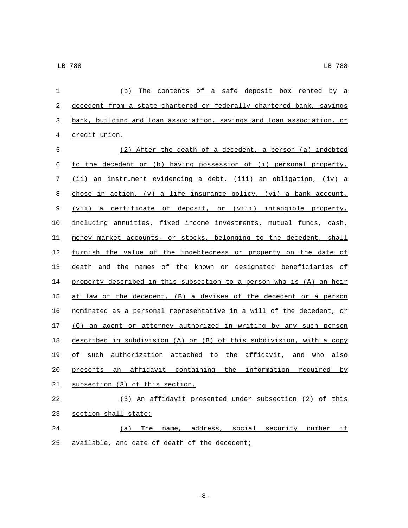| 1  | (b) The contents of a safe deposit box rented by a                     |
|----|------------------------------------------------------------------------|
| 2  | decedent from a state-chartered or federally chartered bank, savings   |
| 3  | bank, building and loan association, savings and loan association, or  |
| 4  | credit union.                                                          |
| 5  | (2) After the death of a decedent, a person (a) indebted               |
| 6  | to the decedent or (b) having possession of (i) personal property,     |
| 7  | (ii) an instrument evidencing a debt, (iii) an obligation, (iv) a      |
| 8  | chose in action, $(v)$ a life insurance policy, $(vi)$ a bank account, |
| 9  | (vii) a certificate of deposit, or (viii) intangible property,         |
| 10 | including annuities, fixed income investments, mutual funds, cash,     |
| 11 | money market accounts, or stocks, belonging to the decedent, shall     |
| 12 | furnish the value of the indebtedness or property on the date of       |
| 13 | death and the names of the known or designated beneficiaries of        |
| 14 | property described in this subsection to a person who is (A) an heir   |
| 15 | at law of the decedent, (B) a devisee of the decedent or a person      |
| 16 | nominated as a personal representative in a will of the decedent, or   |
| 17 | (C) an agent or attorney authorized in writing by any such person      |
| 18 | described in subdivision (A) or (B) of this subdivision, with a copy   |
| 19 | of such authorization attached to the affidavit, and who also          |
| 20 | presents an affidavit containing<br>the<br>information required<br>by  |
| 21 | subsection (3) of this section.                                        |
| 22 | (3) An affidavit presented under subsection (2) of this                |
| 23 | section shall state:                                                   |
| 24 | name, address, social security number if<br>The<br>(a)                 |
| 25 | available, and date of death of the decedent;                          |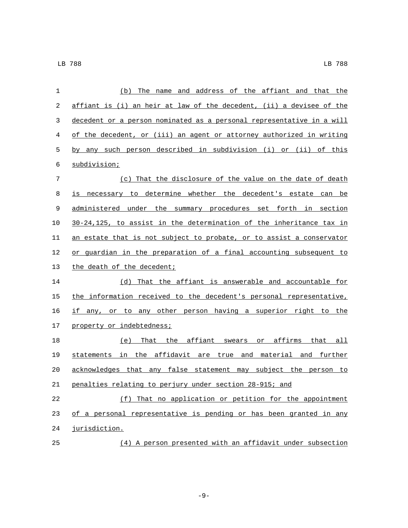| $\mathbf 1$ | The name and address of the affiant and that the<br>(b)               |
|-------------|-----------------------------------------------------------------------|
| 2           | affiant is (i) an heir at law of the decedent, (ii) a devisee of the  |
| 3           | decedent or a person nominated as a personal representative in a will |
| 4           | of the decedent, or (iii) an agent or attorney authorized in writing  |
| 5           | by any such person described in subdivision (i) or (ii) of this       |
| 6           | subdivision;                                                          |
| 7           | (c) That the disclosure of the value on the date of death             |
| 8           | is necessary to determine whether the decedent's estate can be        |
| $\mathsf 9$ | administered under the summary procedures set forth in section        |
| 10          | 30-24,125, to assist in the determination of the inheritance tax in   |
| 11          | an estate that is not subject to probate, or to assist a conservator  |
| 12          | or guardian in the preparation of a final accounting subsequent to    |
| 13          | the death of the decedent;                                            |
| 14          | (d)<br>That the affiant is answerable and accountable for             |
| 15          | the information received to the decedent's personal representative,   |
| 16          | any, or to any other person having a superior right to the<br>if      |
| 17          | property or indebtedness;                                             |
| 18          | That the affiant swears or affirms that all<br>(e)                    |
| 19          | statements in the affidavit are true and material and further         |
| 20          | acknowledges that any false statement may subject the person to       |
| 21          | penalties relating to perjury under section 28-915; and               |
| 22          | (f) That no application or petition for the appointment               |
| 23          | of a personal representative is pending or has been granted in any    |
| 24          | jurisdiction.                                                         |

(4) A person presented with an affidavit under subsection

-9-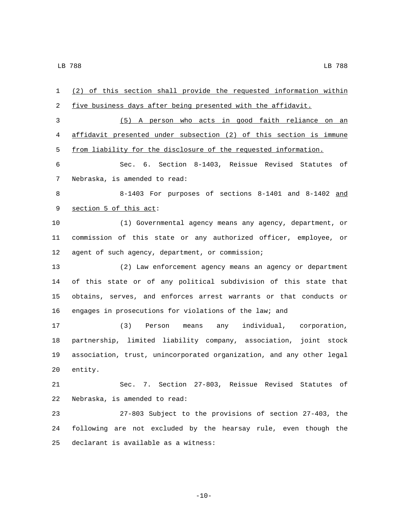(2) of this section shall provide the requested information within five business days after being presented with the affidavit. (5) A person who acts in good faith reliance on an affidavit presented under subsection (2) of this section is immune from liability for the disclosure of the requested information. Sec. 6. Section 8-1403, Reissue Revised Statutes of 7 Nebraska, is amended to read: 8-1403 For purposes of sections 8-1401 and 8-1402 and 9 section 5 of this act: (1) Governmental agency means any agency, department, or commission of this state or any authorized officer, employee, or 12 agent of such agency, department, or commission; (2) Law enforcement agency means an agency or department of this state or of any political subdivision of this state that obtains, serves, and enforces arrest warrants or that conducts or engages in prosecutions for violations of the law; and (3) Person means any individual, corporation, partnership, limited liability company, association, joint stock association, trust, unincorporated organization, and any other legal 20 entity. Sec. 7. Section 27-803, Reissue Revised Statutes of 22 Nebraska, is amended to read: 27-803 Subject to the provisions of section 27-403, the following are not excluded by the hearsay rule, even though the 25 declarant is available as a witness:

 $-10-$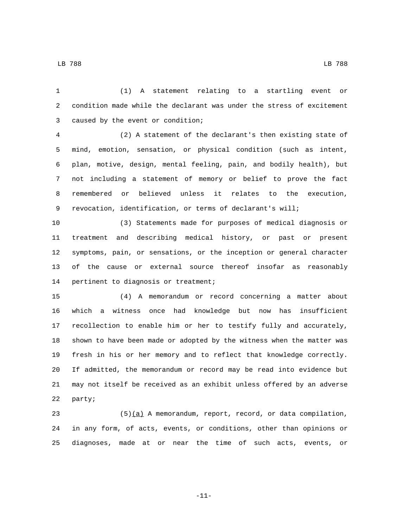(1) A statement relating to a startling event or

 condition made while the declarant was under the stress of excitement 3 caused by the event or condition;

 (2) A statement of the declarant's then existing state of mind, emotion, sensation, or physical condition (such as intent, plan, motive, design, mental feeling, pain, and bodily health), but not including a statement of memory or belief to prove the fact remembered or believed unless it relates to the execution, revocation, identification, or terms of declarant's will;

 (3) Statements made for purposes of medical diagnosis or treatment and describing medical history, or past or present symptoms, pain, or sensations, or the inception or general character of the cause or external source thereof insofar as reasonably 14 pertinent to diagnosis or treatment;

 (4) A memorandum or record concerning a matter about which a witness once had knowledge but now has insufficient recollection to enable him or her to testify fully and accurately, shown to have been made or adopted by the witness when the matter was fresh in his or her memory and to reflect that knowledge correctly. If admitted, the memorandum or record may be read into evidence but may not itself be received as an exhibit unless offered by an adverse 22 party;

23 (5) $(a)$  A memorandum, report, record, or data compilation, in any form, of acts, events, or conditions, other than opinions or diagnoses, made at or near the time of such acts, events, or

LB 788 LB 788

-11-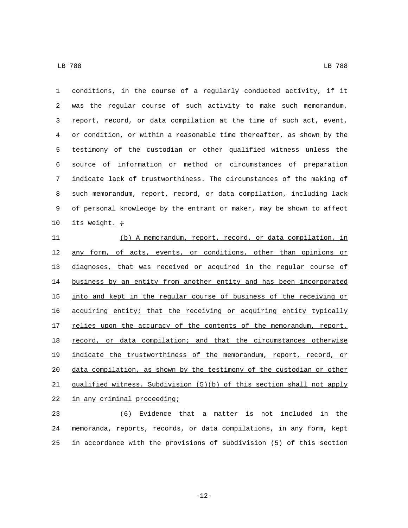conditions, in the course of a regularly conducted activity, if it was the regular course of such activity to make such memorandum, report, record, or data compilation at the time of such act, event, or condition, or within a reasonable time thereafter, as shown by the testimony of the custodian or other qualified witness unless the source of information or method or circumstances of preparation indicate lack of trustworthiness. The circumstances of the making of such memorandum, report, record, or data compilation, including lack of personal knowledge by the entrant or maker, may be shown to affect 10 its weight.  $\div$  (b) A memorandum, report, record, or data compilation, in 12 any form, of acts, events, or conditions, other than opinions or diagnoses, that was received or acquired in the regular course of business by an entity from another entity and has been incorporated into and kept in the regular course of business of the receiving or acquiring entity; that the receiving or acquiring entity typically 17 relies upon the accuracy of the contents of the memorandum, report, 18 record, or data compilation; and that the circumstances otherwise indicate the trustworthiness of the memorandum, report, record, or data compilation, as shown by the testimony of the custodian or other qualified witness. Subdivision (5)(b) of this section shall not apply 22 in any criminal proceeding; (6) Evidence that a matter is not included in the

 memoranda, reports, records, or data compilations, in any form, kept in accordance with the provisions of subdivision (5) of this section

-12-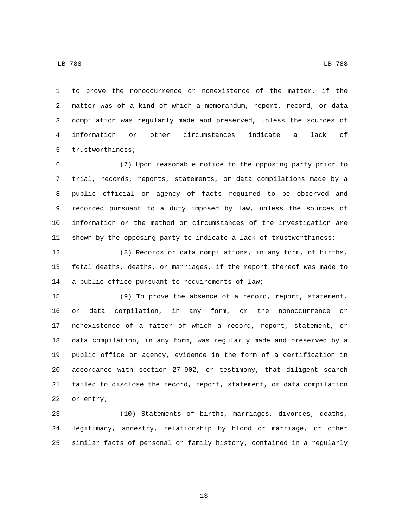to prove the nonoccurrence or nonexistence of the matter, if the matter was of a kind of which a memorandum, report, record, or data compilation was regularly made and preserved, unless the sources of information or other circumstances indicate a lack of 5 trustworthiness;

 (7) Upon reasonable notice to the opposing party prior to trial, records, reports, statements, or data compilations made by a public official or agency of facts required to be observed and recorded pursuant to a duty imposed by law, unless the sources of information or the method or circumstances of the investigation are shown by the opposing party to indicate a lack of trustworthiness;

 (8) Records or data compilations, in any form, of births, fetal deaths, deaths, or marriages, if the report thereof was made to 14 a public office pursuant to requirements of law;

 (9) To prove the absence of a record, report, statement, or data compilation, in any form, or the nonoccurrence or nonexistence of a matter of which a record, report, statement, or data compilation, in any form, was regularly made and preserved by a public office or agency, evidence in the form of a certification in accordance with section 27-902, or testimony, that diligent search failed to disclose the record, report, statement, or data compilation 22 or entry;

 (10) Statements of births, marriages, divorces, deaths, legitimacy, ancestry, relationship by blood or marriage, or other similar facts of personal or family history, contained in a regularly

-13-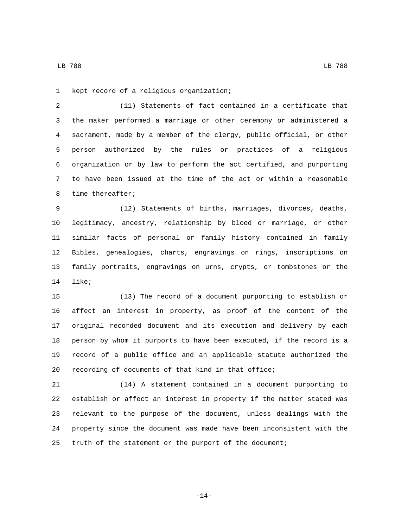1 kept record of a religious organization;

 (11) Statements of fact contained in a certificate that the maker performed a marriage or other ceremony or administered a sacrament, made by a member of the clergy, public official, or other person authorized by the rules or practices of a religious organization or by law to perform the act certified, and purporting to have been issued at the time of the act or within a reasonable 8 time thereafter;

 (12) Statements of births, marriages, divorces, deaths, legitimacy, ancestry, relationship by blood or marriage, or other similar facts of personal or family history contained in family Bibles, genealogies, charts, engravings on rings, inscriptions on family portraits, engravings on urns, crypts, or tombstones or the 14 like;

 (13) The record of a document purporting to establish or affect an interest in property, as proof of the content of the original recorded document and its execution and delivery by each person by whom it purports to have been executed, if the record is a record of a public office and an applicable statute authorized the recording of documents of that kind in that office;

 (14) A statement contained in a document purporting to establish or affect an interest in property if the matter stated was relevant to the purpose of the document, unless dealings with the property since the document was made have been inconsistent with the truth of the statement or the purport of the document;

-14-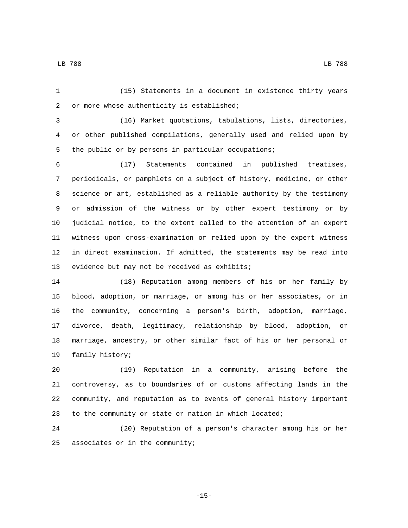(15) Statements in a document in existence thirty years 2 or more whose authenticity is established;

 (16) Market quotations, tabulations, lists, directories, or other published compilations, generally used and relied upon by the public or by persons in particular occupations;

 (17) Statements contained in published treatises, periodicals, or pamphlets on a subject of history, medicine, or other science or art, established as a reliable authority by the testimony or admission of the witness or by other expert testimony or by judicial notice, to the extent called to the attention of an expert witness upon cross-examination or relied upon by the expert witness in direct examination. If admitted, the statements may be read into 13 evidence but may not be received as exhibits;

 (18) Reputation among members of his or her family by blood, adoption, or marriage, or among his or her associates, or in the community, concerning a person's birth, adoption, marriage, divorce, death, legitimacy, relationship by blood, adoption, or marriage, ancestry, or other similar fact of his or her personal or 19 family history;

 (19) Reputation in a community, arising before the controversy, as to boundaries of or customs affecting lands in the community, and reputation as to events of general history important to the community or state or nation in which located;

 (20) Reputation of a person's character among his or her 25 associates or in the community;

LB 788 LB 788

-15-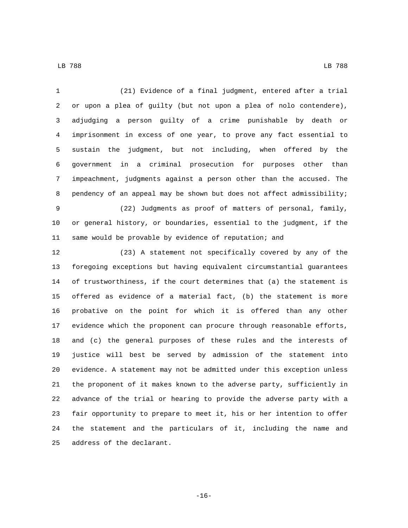LB 788 LB 788

 (21) Evidence of a final judgment, entered after a trial or upon a plea of guilty (but not upon a plea of nolo contendere), adjudging a person guilty of a crime punishable by death or imprisonment in excess of one year, to prove any fact essential to sustain the judgment, but not including, when offered by the government in a criminal prosecution for purposes other than impeachment, judgments against a person other than the accused. The pendency of an appeal may be shown but does not affect admissibility; (22) Judgments as proof of matters of personal, family, or general history, or boundaries, essential to the judgment, if the same would be provable by evidence of reputation; and (23) A statement not specifically covered by any of the

 foregoing exceptions but having equivalent circumstantial guarantees of trustworthiness, if the court determines that (a) the statement is offered as evidence of a material fact, (b) the statement is more probative on the point for which it is offered than any other evidence which the proponent can procure through reasonable efforts, and (c) the general purposes of these rules and the interests of justice will best be served by admission of the statement into evidence. A statement may not be admitted under this exception unless the proponent of it makes known to the adverse party, sufficiently in advance of the trial or hearing to provide the adverse party with a fair opportunity to prepare to meet it, his or her intention to offer the statement and the particulars of it, including the name and 25 address of the declarant.

-16-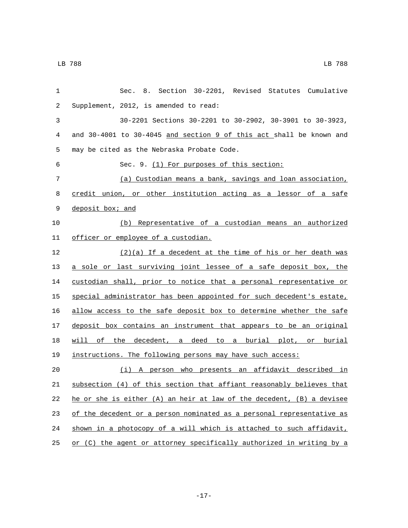| 1  | Sec. 8. Section 30-2201, Revised Statutes Cumulative                  |
|----|-----------------------------------------------------------------------|
| 2  | Supplement, 2012, is amended to read:                                 |
| 3  | 30-2201 Sections 30-2201 to 30-2902, 30-3901 to 30-3923,              |
| 4  | and 30-4001 to 30-4045 and section 9 of this act shall be known and   |
| 5  | may be cited as the Nebraska Probate Code.                            |
| 6  | Sec. 9. (1) For purposes of this section:                             |
| 7  | (a) Custodian means a bank, savings and loan association,             |
| 8  | credit union, or other institution acting as a lessor of a safe       |
| 9  | deposit box; and                                                      |
| 10 | (b) Representative of a custodian means an authorized                 |
| 11 | officer or employee of a custodian.                                   |
| 12 | $(2)(a)$ If a decedent at the time of his or her death was            |
| 13 | a sole or last surviving joint lessee of a safe deposit box, the      |
| 14 | custodian shall, prior to notice that a personal representative or    |
| 15 | special administrator has been appointed for such decedent's estate,  |
| 16 | allow access to the safe deposit box to determine whether the safe    |
| 17 | deposit box contains an instrument that appears to be an original     |
| 18 | will of the decedent, a deed to a burial plot, or burial              |
| 19 | instructions. The following persons may have such access:             |
| 20 | (i) A person who presents an affidavit described in                   |
| 21 | subsection (4) of this section that affiant reasonably believes that  |
| 22 | he or she is either (A) an heir at law of the decedent, (B) a devisee |
| 23 | of the decedent or a person nominated as a personal representative as |
| 24 | shown in a photocopy of a will which is attached to such affidavit,   |
| 25 | or (C) the agent or attorney specifically authorized in writing by a  |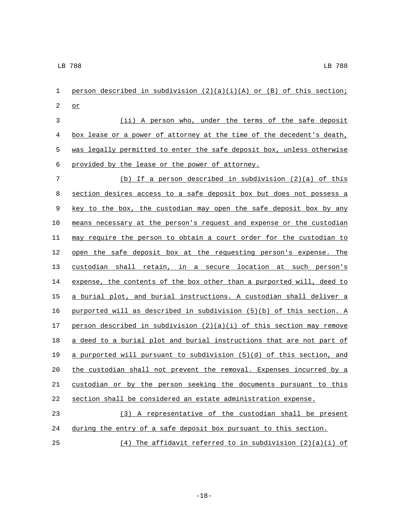1 person described in subdivision  $(2)(a)(i)(A)$  or  $(B)$  of this section; 2 or (ii) A person who, under the terms of the safe deposit 4 box lease or a power of attorney at the time of the decedent's death, 5 was legally permitted to enter the safe deposit box, unless otherwise 6 provided by the lease or the power of attorney. (b) If a person described in subdivision (2)(a) of this section desires access to a safe deposit box but does not possess a 9 key to the box, the custodian may open the safe deposit box by any means necessary at the person's request and expense or the custodian may require the person to obtain a court order for the custodian to open the safe deposit box at the requesting person's expense. The custodian shall retain, in a secure location at such person's expense, the contents of the box other than a purported will, deed to a burial plot, and burial instructions. A custodian shall deliver a purported will as described in subdivision (5)(b) of this section. A 17 person described in subdivision  $(2)(a)(i)$  of this section may remove 18 a deed to a burial plot and burial instructions that are not part of 19 a purported will pursuant to subdivision  $(5)(d)$  of this section, and the custodian shall not prevent the removal. Expenses incurred by a custodian or by the person seeking the documents pursuant to this section shall be considered an estate administration expense. (3) A representative of the custodian shall be present during the entry of a safe deposit box pursuant to this section.

25 (4) The affidavit referred to in subdivision (2)(a)(i) of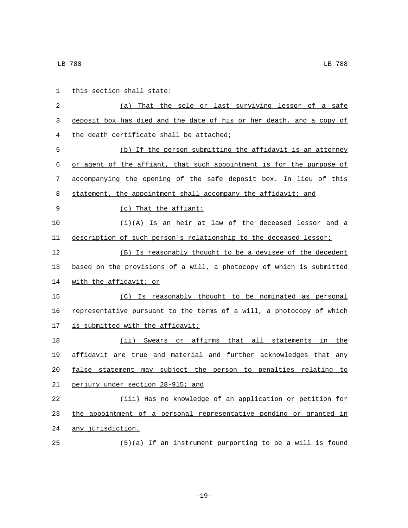| 1  | this section shall state:                                            |
|----|----------------------------------------------------------------------|
| 2  | That the sole or last surviving lessor of a safe<br>(a)              |
| 3  | deposit box has died and the date of his or her death, and a copy of |
| 4  | the death certificate shall be attached;                             |
| 5  | (b) If the person submitting the affidavit is an attorney            |
| 6  | or agent of the affiant, that such appointment is for the purpose of |
| 7  | accompanying the opening of the safe deposit box. In lieu of this    |
| 8  | statement, the appointment shall accompany the affidavit; and        |
| 9  | (c) That the affiant:                                                |
| 10 | $(i)(A)$ Is an heir at law of the deceased lessor and a              |
| 11 | description of such person's relationship to the deceased lessor;    |
| 12 | (B) Is reasonably thought to be a devisee of the decedent            |
| 13 | based on the provisions of a will, a photocopy of which is submitted |
| 14 | with the affidavit; or                                               |
| 15 | (C) Is reasonably thought to be nominated as personal                |
| 16 | representative pursuant to the terms of a will, a photocopy of which |
| 17 | is submitted with the affidavit;                                     |
| 18 | (ii) Swears or affirms that all statements in the                    |
| 19 | affidavit are true and material and further acknowledges that any    |
| 20 | false statement may subject the person to penalties relating<br>to   |
| 21 | perjury under section 28-915; and                                    |
| 22 | (iii) Has no knowledge of an application or petition for             |
| 23 | the appointment of a personal representative pending or granted in   |
| 24 | any jurisdiction.                                                    |
| 25 | $(5)(a)$ If an instrument purporting to be a will is found           |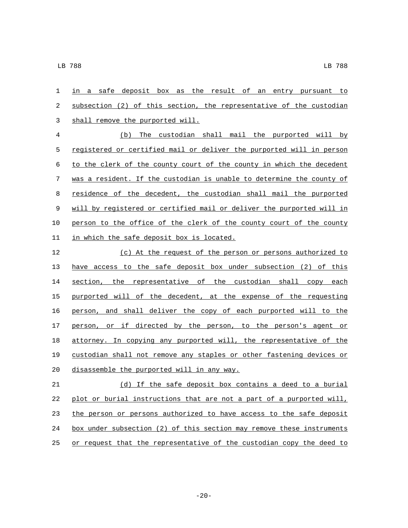in a safe deposit box as the result of an entry pursuant to 2 subsection (2) of this section, the representative of the custodian 3 shall remove the purported will.

 (b) The custodian shall mail the purported will by registered or certified mail or deliver the purported will in person to the clerk of the county court of the county in which the decedent was a resident. If the custodian is unable to determine the county of residence of the decedent, the custodian shall mail the purported will by registered or certified mail or deliver the purported will in person to the office of the clerk of the county court of the county 11 in which the safe deposit box is located.

 (c) At the request of the person or persons authorized to have access to the safe deposit box under subsection (2) of this section, the representative of the custodian shall copy each purported will of the decedent, at the expense of the requesting person, and shall deliver the copy of each purported will to the 17 person, or if directed by the person, to the person's agent or attorney. In copying any purported will, the representative of the custodian shall not remove any staples or other fastening devices or 20 disassemble the purported will in any way.

 (d) If the safe deposit box contains a deed to a burial plot or burial instructions that are not a part of a purported will, the person or persons authorized to have access to the safe deposit box under subsection (2) of this section may remove these instruments 25 or request that the representative of the custodian copy the deed to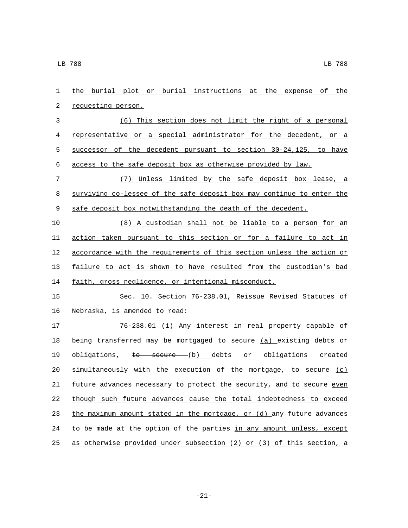1 the burial plot or burial instructions at the expense of the 2 requesting person. 3 (6) This section does not limit the right of a personal 4 representative or a special administrator for the decedent, or a 5 successor of the decedent pursuant to section 30-24,125, to have 6 access to the safe deposit box as otherwise provided by law. 7 (7) Unless limited by the safe deposit box lease, a 8 surviving co-lessee of the safe deposit box may continue to enter the 9 safe deposit box notwithstanding the death of the decedent. 10 (8) A custodian shall not be liable to a person for an 11 action taken pursuant to this section or for a failure to act in 12 accordance with the requirements of this section unless the action or 13 failure to act is shown to have resulted from the custodian's bad 14 faith, gross negligence, or intentional misconduct. 15 Sec. 10. Section 76-238.01, Reissue Revised Statutes of 16 Nebraska, is amended to read: 17 76-238.01 (1) Any interest in real property capable of 18 being transferred may be mortgaged to secure (a) existing debts or 19 obligations, to secure (b) debts or obligations created 20 simultaneously with the execution of the mortgage, to secure  $(c)$ 21 future advances necessary to protect the security, and to secure even 22 though such future advances cause the total indebtedness to exceed 23 the maximum amount stated in the mortgage, or (d) any future advances 24 to be made at the option of the parties in any amount unless, except 25 as otherwise provided under subsection (2) or (3) of this section, a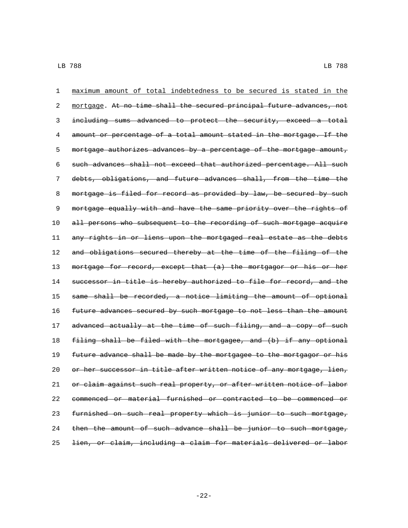1 maximum amount of total indebtedness to be secured is stated in the 2 mortgage. At no time shall the secured principal future advances, not 3 including sums advanced to protect the security, exceed a total 4 amount or percentage of a total amount stated in the mortgage. If the 5 mortgage authorizes advances by a percentage of the mortgage amount, 6 such advances shall not exceed that authorized percentage. All such 7 debts, obligations, and future advances shall, from the time the 8 mortgage is filed for record as provided by law, be secured by such 9 mortgage equally with and have the same priority over the rights of 10 all persons who subsequent to the recording of such mortgage acquire 11 any rights in or liens upon the mortgaged real estate as the debts 12 and obligations secured thereby at the time of the filing of the 13 mortgage for record, except that (a) the mortgagor or his or her 14 successor in title is hereby authorized to file for record, and the 15 same shall be recorded, a notice limiting the amount of optional 16 future advances secured by such mortgage to not less than the amount 17 advanced actually at the time of such filing, and a copy of such 18 filing shall be filed with the mortgagee, and (b) if any optional 19 future advance shall be made by the mortgagee to the mortgagor or his 20 or her successor in title after written notice of any mortgage, lien, 21 or claim against such real property, or after written notice of labor 22 commenced or material furnished or contracted to be commenced or 23 furnished on such real property which is junior to such mortgage, 24 then the amount of such advance shall be junior to such mortgage, 25 lien, or claim, including a claim for materials delivered or labor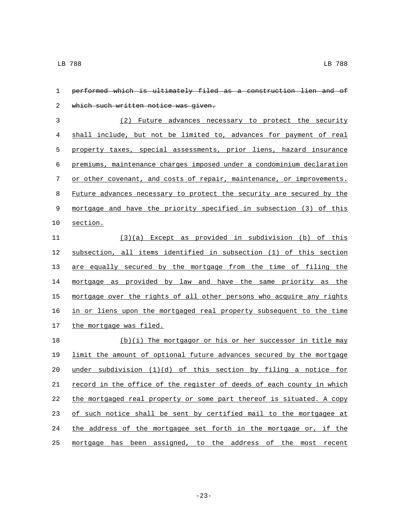| $\mathbf{1}$ | performed which is ultimately filed as a construction lien and of        |
|--------------|--------------------------------------------------------------------------|
| 2            | which such written notice was given.                                     |
| 3            | (2) Future advances necessary to protect the security                    |
| 4            | shall include, but not be limited to, advances for payment of real       |
| 5            | property taxes, special assessments, prior liens, hazard insurance       |
| $\epsilon$   | premiums, maintenance charges imposed under a condominium declaration    |
| 7            | or other covenant, and costs of repair, maintenance, or improvements.    |
| 8            | Future advances necessary to protect the security are secured by the     |
| 9            | mortgage and have the priority specified in subsection (3) of this       |
| 10           | section.                                                                 |
| 11           | (3)(a) Except as provided in subdivision (b) of this                     |
| 12           | subsection, all items identified in subsection (1) of this section       |
| 13           | are equally secured by the mortgage from the time of filing the          |
| 14           | mortgage as provided by law and have the same priority as the            |
| 15           | mortgage over the rights of all other persons who acquire any rights     |
| 16           | in or liens upon the mortgaged real property subsequent to the time      |
| 17           | the mortgage was filed.                                                  |
| 18           | (b)(i) The mortgagor or his or her successor in title may                |
| 19           | limit the amount of optional future advances secured by the mortgage     |
| 20           | under subdivision $(1)(d)$ of this section by filing a notice for        |
|              | 21 record in the office of the register of deeds of each county in which |
| 22           | the mortgaged real property or some part thereof is situated. A copy     |
| 23           | of such notice shall be sent by certified mail to the mortgagee at       |
| 24           | the address of the mortgagee set forth in the mortgage or, if the        |
| 25           | mortgage has been assigned, to the address of the most recent            |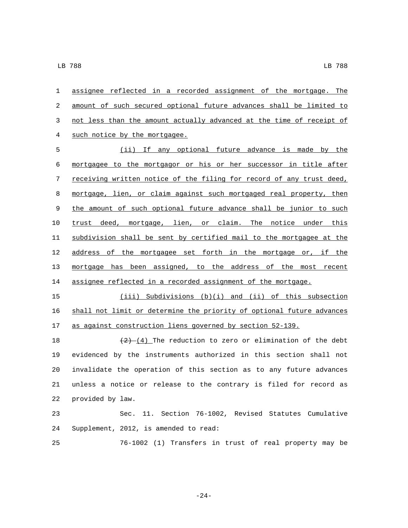assignee reflected in a recorded assignment of the mortgage. The amount of such secured optional future advances shall be limited to not less than the amount actually advanced at the time of receipt of 4 such notice by the mortgagee.

 (ii) If any optional future advance is made by the mortgagee to the mortgagor or his or her successor in title after receiving written notice of the filing for record of any trust deed, mortgage, lien, or claim against such mortgaged real property, then the amount of such optional future advance shall be junior to such trust deed, mortgage, lien, or claim. The notice under this subdivision shall be sent by certified mail to the mortgagee at the 12 address of the mortgagee set forth in the mortgage or, if the 13 mortgage has been assigned, to the address of the most recent assignee reflected in a recorded assignment of the mortgage.

 (iii) Subdivisions (b)(i) and (ii) of this subsection shall not limit or determine the priority of optional future advances as against construction liens governed by section 52-139.

 $\left(\frac{2}{2}\right)$  (4) The reduction to zero or elimination of the debt evidenced by the instruments authorized in this section shall not invalidate the operation of this section as to any future advances unless a notice or release to the contrary is filed for record as 22 provided by law.

 Sec. 11. Section 76-1002, Revised Statutes Cumulative 24 Supplement, 2012, is amended to read:

76-1002 (1) Transfers in trust of real property may be

-24-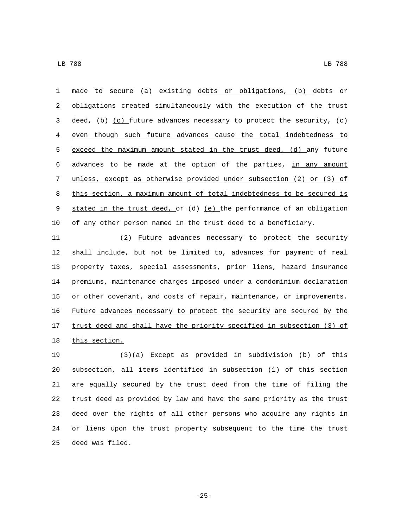LB 788 LB 788

 made to secure (a) existing debts or obligations, (b) debts or obligations created simultaneously with the execution of the trust 3 deed,  $(b) - (c)$  future advances necessary to protect the security,  $(e)$  even though such future advances cause the total indebtedness to exceed the maximum amount stated in the trust deed, (d) any future 6 advances to be made at the option of the parties $\tau$  in any amount unless, except as otherwise provided under subsection (2) or (3) of this section, a maximum amount of total indebtedness to be secured is 9 stated in the trust deed, or  $(d)$  (e) the performance of an obligation of any other person named in the trust deed to a beneficiary.

 (2) Future advances necessary to protect the security shall include, but not be limited to, advances for payment of real property taxes, special assessments, prior liens, hazard insurance premiums, maintenance charges imposed under a condominium declaration or other covenant, and costs of repair, maintenance, or improvements. Future advances necessary to protect the security are secured by the 17 trust deed and shall have the priority specified in subsection (3) of 18 this section.

 (3)(a) Except as provided in subdivision (b) of this subsection, all items identified in subsection (1) of this section are equally secured by the trust deed from the time of filing the trust deed as provided by law and have the same priority as the trust deed over the rights of all other persons who acquire any rights in or liens upon the trust property subsequent to the time the trust 25 deed was filed.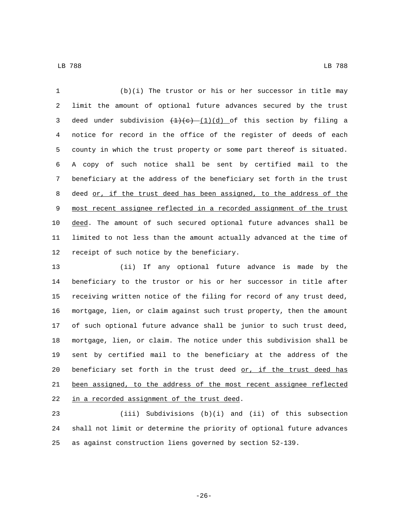(b)(i) The trustor or his or her successor in title may limit the amount of optional future advances secured by the trust 3 deed under subdivision  $\left(\frac{1}{e}\right)_{(d)}$  of this section by filing a notice for record in the office of the register of deeds of each county in which the trust property or some part thereof is situated. A copy of such notice shall be sent by certified mail to the beneficiary at the address of the beneficiary set forth in the trust 8 deed or, if the trust deed has been assigned, to the address of the most recent assignee reflected in a recorded assignment of the trust deed. The amount of such secured optional future advances shall be limited to not less than the amount actually advanced at the time of 12 receipt of such notice by the beneficiary.

 (ii) If any optional future advance is made by the beneficiary to the trustor or his or her successor in title after receiving written notice of the filing for record of any trust deed, mortgage, lien, or claim against such trust property, then the amount of such optional future advance shall be junior to such trust deed, mortgage, lien, or claim. The notice under this subdivision shall be sent by certified mail to the beneficiary at the address of the 20 beneficiary set forth in the trust deed or, if the trust deed has been assigned, to the address of the most recent assignee reflected 22 in a recorded assignment of the trust deed.

 (iii) Subdivisions (b)(i) and (ii) of this subsection shall not limit or determine the priority of optional future advances as against construction liens governed by section 52-139.

-26-